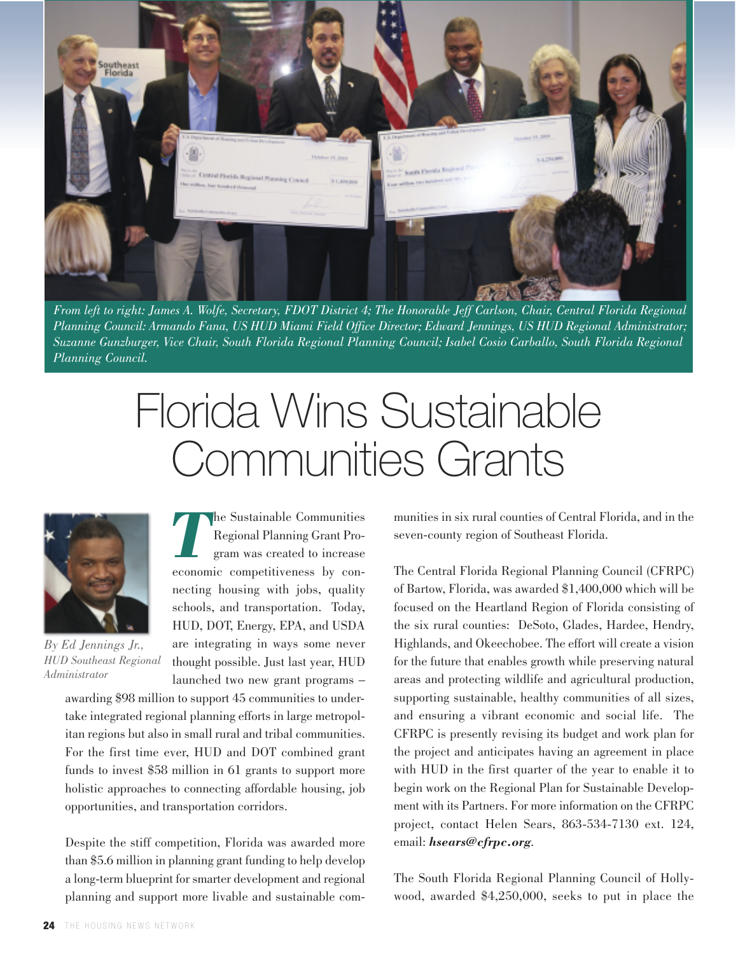

From left to right: James A. Wolfe, Secretary, FDOT District 4; The Honorable Jeff Carlson, Chair, Central Florida Regional Planning Council: Armando Fana, US HUD Miami Field Office Director; Edward Jennings, US HUD Regional Administrator; *Suzanne Gunzburger, Vice Chair, South Florida Regional Planning Council; Isabel Cosio Carballo, South Florida Regional Planning Council.*

## Florida Wins Sustainable Communities Grants



*By Ed Jennings Jr., HUD Southeast Regional Administrator*

*T*he Sustainable Communities Regional Planning Grant Program was created to increase economic competitiveness by connecting housing with jobs, quality schools, and transportation. Today, HUD, DOT, Energy, EPA, and USDA are integrating in ways some never thought possible. Just last year, HUD launched two new grant programs –

awarding \$98 million to support 45 communities to undertake integrated regional planning efforts in large metropolitan regions but also in small rural and tribal communities. For the first time ever, HUD and DOT combined grant funds to invest \$58 million in 61 grants to support more holistic approaches to connecting affordable housing, job opportunities, and transportation corridors.

Despite the stiff competition, Florida was awarded more than \$5.6 million in planning grant funding to help develop a long-term blueprint for smarter development and regional planning and support more livable and sustainable communities in six rural counties of Central Florida, and in the seven-county region of Southeast Florida.

The Central Florida Regional Planning Council (CFRPC) of Bartow, Florida, was awarded \$1,400,000 which will be focused on the Heartland Region of Florida consisting of the six rural counties: DeSoto, Glades, Hardee, Hendry, Highlands, and Okeechobee. The effort will create a vision for the future that enables growth while preserving natural areas and protecting wildlife and agricultural production, supporting sustainable, healthy communities of all sizes, and ensuring a vibrant economic and social life. The CFRPC is presently revising its budget and work plan for the project and anticipates having an agreement in place with HUD in the first quarter of the year to enable it to begin work on the Regional Plan for Sustainable Development with its Partners. For more information on the CFRPC project, contact Helen Sears, 863-534-7130 ext. 124, email: *hsears@cfrpc.org*.

The South Florida Regional Planning Council of Hollywood, awarded \$4,250,000, seeks to put in place the